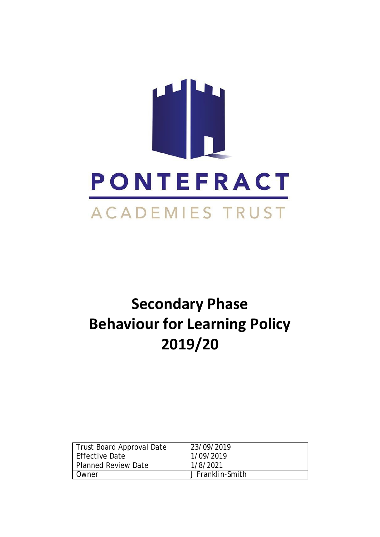

# **Secondary Phase Behaviour for Learning Policy 2019/20**

| Trust Board Approval Date | 23/09/2019       |
|---------------------------|------------------|
| Effective Date            | 1/09/2019        |
| Planned Review Date       | 1/8/2021         |
| Owner                     | J Franklin-Smith |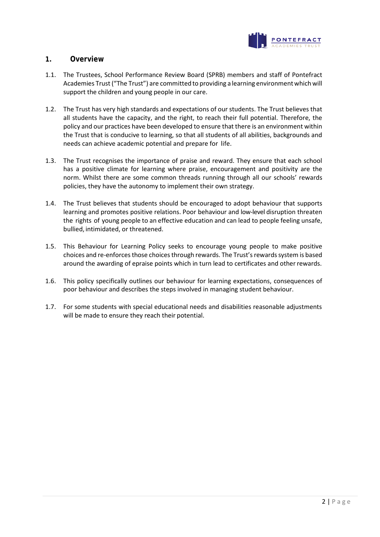

## **1. Overview**

- 1.1. The Trustees, School Performance Review Board (SPRB) members and staff of Pontefract Academies Trust ("The Trust") are committed to providing a learning environment which will support the children and young people in our care.
- 1.2. The Trust has very high standards and expectations of our students. The Trust believes that all students have the capacity, and the right, to reach their full potential. Therefore, the policy and our practices have been developed to ensure that there is an environment within the Trust that is conducive to learning, so that all students of all abilities, backgrounds and needs can achieve academic potential and prepare for life.
- 1.3. The Trust recognises the importance of praise and reward. They ensure that each school has a positive climate for learning where praise, encouragement and positivity are the norm. Whilst there are some common threads running through all our schools' rewards policies, they have the autonomy to implement their own strategy.
- 1.4. The Trust believes that students should be encouraged to adopt behaviour that supports learning and promotes positive relations. Poor behaviour and low-level disruption threaten the rights of young people to an effective education and can lead to people feeling unsafe, bullied, intimidated, or threatened.
- 1.5. This Behaviour for Learning Policy seeks to encourage young people to make positive choices and re-enforces those choices through rewards. The Trust's rewards system is based around the awarding of epraise points which in turn lead to certificates and other rewards.
- 1.6. This policy specifically outlines our behaviour for learning expectations, consequences of poor behaviour and describes the steps involved in managing student behaviour.
- 1.7. For some students with special educational needs and disabilities reasonable adjustments will be made to ensure they reach their potential.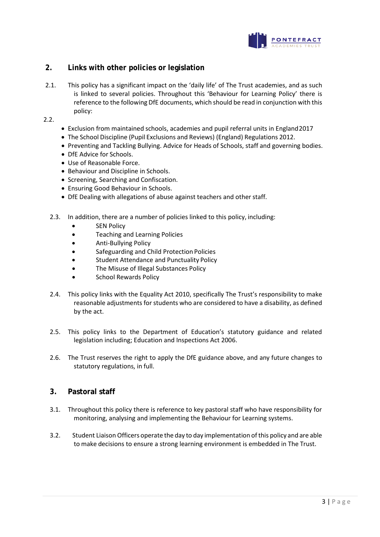

## **2. Links with other policies or legislation**

2.1. This policy has a significant impact on the 'daily life' of The Trust academies, and as such is linked to several policies. Throughout this 'Behaviour for Learning Policy' there is reference to the following DfE documents, which should be read in conjunction with this policy:

2.2.

- Exclusion from maintained schools, academies and pupil referral units in England2017
- The School Discipline (Pupil Exclusions and Reviews) (England) Regulations 2012.
- Preventing and Tackling Bullying. Advice for Heads of Schools, staff and governing bodies.
- DfE Advice for Schools.
- Use of Reasonable Force.
- Behaviour and Discipline in Schools.
- Screening, Searching and Confiscation.
- Ensuring Good Behaviour in Schools.
- DfE Dealing with allegations of abuse against teachers and other staff.
- 2.3. In addition, there are a number of policies linked to this policy, including:
	- SEN Policy
	- Teaching and Learning Policies
	- Anti-Bullying Policy
	- Safeguarding and Child Protection Policies
	- Student Attendance and Punctuality Policy
	- The Misuse of Illegal Substances Policy
	- School Rewards Policy
- 2.4. This policy links with the Equality Act 2010, specifically The Trust's responsibility to make reasonable adjustments for students who are considered to have a disability, as defined by the act.
- 2.5. This policy links to the Department of Education's statutory guidance and related legislation including; Education and Inspections Act 2006.
- 2.6. The Trust reserves the right to apply the DfE guidance above, and any future changes to statutory regulations, in full.

## **3. Pastoral staff**

- 3.1. Throughout this policy there is reference to key pastoral staff who have responsibility for monitoring, analysing and implementing the Behaviour for Learning systems.
- 3.2. Student Liaison Officers operate the day to day implementation ofthis policy and are able to make decisions to ensure a strong learning environment is embedded in The Trust.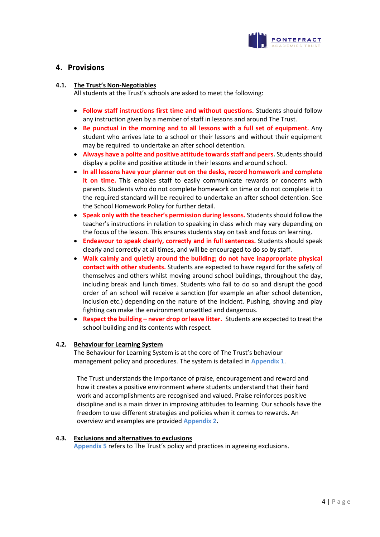

## **4. Provisions**

#### **4.1. The Trust's Non-Negotiables**

All students at the Trust's schools are asked to meet the following:

- **Follow staff instructions first time and without questions.** Students should follow any instruction given by a member of staff in lessons and around The Trust.
- **Be punctual in the morning and to all lessons with a full set of equipment.** Any student who arrives late to a school or their lessons and without their equipment may be required to undertake an after school detention.
- **Always have a polite and positive attitude towards staff and peers.** Students should display a polite and positive attitude in their lessons and around school.
- **In all lessons have your planner out on the desks, record homework and complete it on time.** This enables staff to easily communicate rewards or concerns with parents. Students who do not complete homework on time or do not complete it to the required standard will be required to undertake an after school detention. See the School Homework Policy for further detail.
- **Speak only with the teacher's permission during lessons.** Students should follow the teacher's instructions in relation to speaking in class which may vary depending on the focus of the lesson. This ensures students stay on task and focus on learning.
- **Endeavour to speak clearly, correctly and in full sentences.** Students should speak clearly and correctly at all times, and will be encouraged to do so by staff.
- **Walk calmly and quietly around the building; do not have inappropriate physical contact with other students.** Students are expected to have regard for the safety of themselves and others whilst moving around school buildings, throughout the day, including break and lunch times. Students who fail to do so and disrupt the good order of an school will receive a sanction (for example an after school detention, inclusion etc.) depending on the nature of the incident. Pushing, shoving and play fighting can make the environment unsettled and dangerous.
- **Respect the building – never drop orleave litter.** Students are expected to treat the school building and its contents with respect.

#### **4.2. Behaviour for Learning System**

The Behaviour for Learning System is at the core of The Trust's behaviour management policy and procedures. The system is detailed in **Appendix 1**.

The Trust understands the importance of praise, encouragement and reward and how it creates a positive environment where students understand that their hard work and accomplishments are recognised and valued. Praise reinforces positive discipline and is a main driver in improving attitudes to learning. Our schools have the freedom to use different strategies and policies when it comes to rewards. An overview and examples are provided **Appendix 2.**

#### **4.3. Exclusions and alternatives to exclusions**

**Appendix 5** refers to The Trust's policy and practices in agreeing exclusions.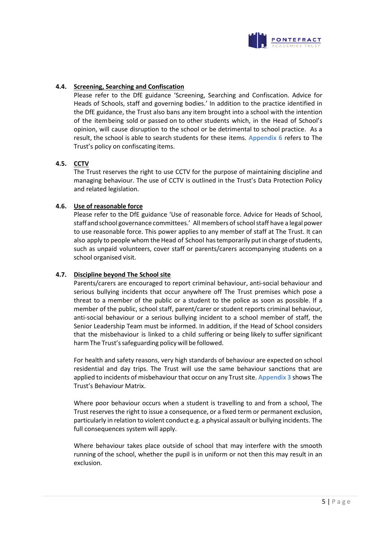

#### **4.4. Screening, Searching and Confiscation**

Please refer to the DfE guidance 'Screening, Searching and Confiscation. Advice for Heads of Schools, staff and governing bodies.' In addition to the practice identified in the DfE guidance, the Trust also bans any item brought into a school with the intention of the itembeing sold or passed on to other students which, in the Head of School's opinion, will cause disruption to the school or be detrimental to school practice. As a result, the school is able to search students for these items. **Appendix 6** refers to The Trust's policy on confiscating items.

#### **4.5. CCTV**

The Trust reserves the right to use CCTV for the purpose of maintaining discipline and managing behaviour. The use of CCTV is outlined in the Trust's Data Protection Policy and related legislation.

#### **4.6. Use of reasonable force**

Please refer to the DfE guidance 'Use of reasonable force. Advice for Heads of School, staff and school governance committees.' All members of school staff have a legal power to use reasonable force. This power applies to any member of staff at The Trust. It can also apply to people whom the Head of School has temporarily put in charge of students, such as unpaid volunteers, cover staff or parents/carers accompanying students on a school organised visit.

#### **4.7. Discipline beyond The School site**

Parents/carers are encouraged to report criminal behaviour, anti-social behaviour and serious bullying incidents that occur anywhere off The Trust premises which pose a threat to a member of the public or a student to the police as soon as possible. If a member of the public, school staff, parent/carer or student reports criminal behaviour, anti-social behaviour or a serious bullying incident to a school member of staff, the Senior Leadership Team must be informed. In addition, if the Head of School considers that the misbehaviour is linked to a child suffering or being likely to suffer significant harm The Trust's safeguarding policy will be followed.

For health and safety reasons, very high standards of behaviour are expected on school residential and day trips. The Trust will use the same behaviour sanctions that are applied to incidents of misbehaviour that occur on any Trust site. **Appendix 3** shows The Trust's Behaviour Matrix.

Where poor behaviour occurs when a student is travelling to and from a school, The Trust reserves the right to issue a consequence, or a fixed term or permanent exclusion, particularly in relation to violent conduct e.g. a physical assault or bullying incidents. The full consequences system will apply.

Where behaviour takes place outside of school that may interfere with the smooth running of the school, whether the pupil is in uniform or not then this may result in an exclusion.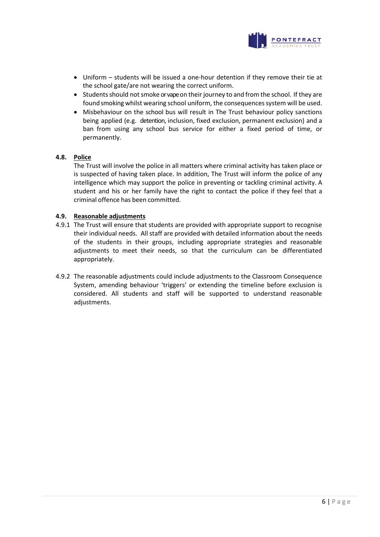

- Uniform students will be issued a one-hour detention if they remove their tie at the school gate/are not wearing the correct uniform.
- Students should not smoke or vape on their journey to and from the school. If they are found smoking whilst wearing school uniform, the consequences system will be used.
- Misbehaviour on the school bus will result in The Trust behaviour policy sanctions being applied (e.g. detention, inclusion, fixed exclusion, permanent exclusion) and a ban from using any school bus service for either a fixed period of time, or permanently.

#### **4.8. Police**

The Trust will involve the police in all matters where criminal activity has taken place or is suspected of having taken place. In addition, The Trust will inform the police of any intelligence which may support the police in preventing or tackling criminal activity. A student and his or her family have the right to contact the police if they feel that a criminal offence has been committed.

#### **4.9. Reasonable adjustments**

- 4.9.1 The Trust will ensure that students are provided with appropriate support to recognise their individual needs. All staff are provided with detailed information about the needs of the students in their groups, including appropriate strategies and reasonable adjustments to meet their needs, so that the curriculum can be differentiated appropriately.
- 4.9.2 The reasonable adjustments could include adjustments to the Classroom Consequence System, amending behaviour 'triggers' or extending the timeline before exclusion is considered. All students and staff will be supported to understand reasonable adjustments.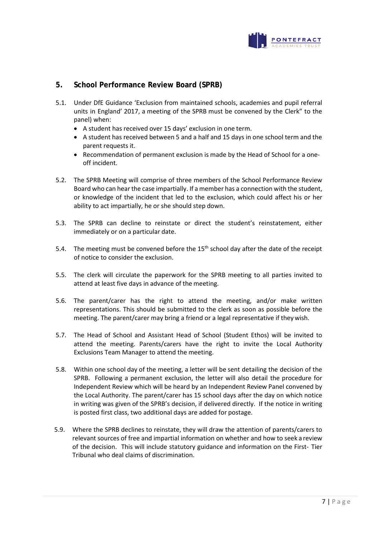

## **5. School Performance Review Board (SPRB)**

- 5.1. Under DfE Guidance 'Exclusion from maintained schools, academies and pupil referral units in England' 2017, a meeting of the SPRB must be convened by the Clerk" to the panel) when:
	- A student has received over 15 days' exclusion in one term.
	- A student has received between 5 and a half and 15 days in one school term and the parent requests it.
	- Recommendation of permanent exclusion is made by the Head of School for a oneoff incident.
- 5.2. The SPRB Meeting will comprise of three members of the School Performance Review Board who can hear the case impartially. If a member has a connection with the student, or knowledge of the incident that led to the exclusion, which could affect his or her ability to act impartially, he or she should step down.
- 5.3. The SPRB can decline to reinstate or direct the student's reinstatement, either immediately or on a particular date.
- 5.4. The meeting must be convened before the  $15<sup>th</sup>$  school day after the date of the receipt of notice to consider the exclusion.
- 5.5. The clerk will circulate the paperwork for the SPRB meeting to all parties invited to attend at least five days in advance of the meeting.
- 5.6. The parent/carer has the right to attend the meeting, and/or make written representations. This should be submitted to the clerk as soon as possible before the meeting. The parent/carer may bring a friend or a legal representative if theywish.
- 5.7. The Head of School and Assistant Head of School (Student Ethos) will be invited to attend the meeting. Parents/carers have the right to invite the Local Authority Exclusions Team Manager to attend the meeting.
- 5.8. Within one school day of the meeting, a letter will be sent detailing the decision of the SPRB. Following a permanent exclusion, the letter will also detail the procedure for Independent Review which will be heard by an Independent Review Panel convened by the Local Authority. The parent/carer has 15 school days after the day on which notice in writing was given of the SPRB's decision, if delivered directly. If the notice in writing is posted first class, two additional days are added for postage.
- 5.9. Where the SPRB declines to reinstate, they will draw the attention of parents/carers to relevant sources of free and impartial information on whether and how to seek a review of the decision. This will include statutory guidance and information on the First- Tier Tribunal who deal claims of discrimination.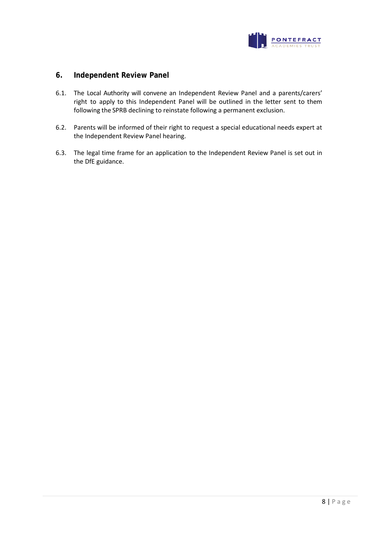

## **6. Independent Review Panel**

- 6.1. The Local Authority will convene an Independent Review Panel and a parents/carers' right to apply to this Independent Panel will be outlined in the letter sent to them following the SPRB declining to reinstate following a permanent exclusion.
- 6.2. Parents will be informed of their right to request a special educational needs expert at the Independent Review Panel hearing.
- 6.3. The legal time frame for an application to the Independent Review Panel is set out in the DfE guidance.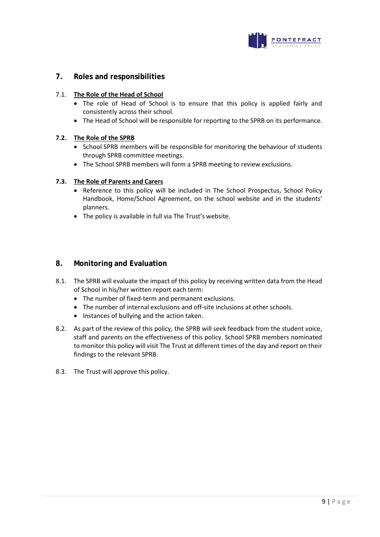

## **7. Roles and responsibilities**

#### 7.1. **The Role of the Head of School**

- The role of Head of School is to ensure that this policy is applied fairly and consistently across their school.
- The Head of School will be responsible for reporting to the SPRB on its performance.

#### **7.2. The Role of the SPRB**

- School SPRB members will be responsible for monitoring the behaviour of students through SPRB committee meetings.
- The School SPRB members will form a SPRB meeting to review exclusions.

#### **7.3. The Role of Parents and Carers**

- Reference to this policy will be included in The School Prospectus, School Policy Handbook, Home/School Agreement, on the school website and in the students' planners.
- The policy is available in full via The Trust's website.

#### **8. Monitoring and Evaluation**

- 8.1. The SPRB will evaluate the impact of this policy by receiving written data from the Head of School in his/her written report each term:
	- The number of fixed-term and permanent exclusions.
	- The number of internal exclusions and off-site inclusions at other schools.
	- Instances of bullying and the action taken.
- 8.2. As part of the review of this policy, the SPRB will seek feedback from the student voice, staff and parents on the effectiveness of this policy. School SPRB members nominated to monitor this policy will visit The Trust at different times of the day and report on their findings to the relevant SPRB.
- 8.3. The Trust will approve this policy.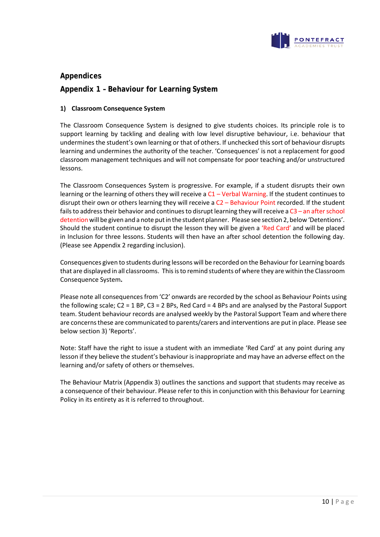

# **Appendices**

## **Appendix 1 – Behaviour for Learning System**

#### **1) Classroom Consequence System**

The Classroom Consequence System is designed to give students choices. Its principle role is to support learning by tackling and dealing with low level disruptive behaviour, i.e. behaviour that undermines the student's own learning or that of others. If unchecked this sort of behaviour disrupts learning and undermines the authority of the teacher. 'Consequences' is not a replacement for good classroom management techniques and will not compensate for poor teaching and/or unstructured lessons.

The Classroom Consequences System is progressive. For example, if a student disrupts their own learning or the learning of others they will receive a C1 – Verbal Warning. If the student continues to disrupt their own or others learning they will receive a C2 – Behaviour Point recorded. If the student fails to address their behavior and continues to disrupt learning they will receive a  $C3$  – an after school detention will be given and a note put in the student planner. Please see section 2, below 'Detentions'. Should the student continue to disrupt the lesson they will be given a 'Red Card' and will be placed in Inclusion for three lessons. Students will then have an after school detention the following day. (Please see Appendix 2 regarding inclusion).

Consequences given to students during lessons will be recorded on the Behaviourfor Learning boards that are displayed in all classrooms. Thisisto remind students of where they are within the Classroom Consequence System**.**

Please note all consequences from 'C2' onwards are recorded by the school as Behaviour Points using the following scale; C2 = 1 BP, C3 = 2 BPs, Red Card = 4 BPs and are analysed by the Pastoral Support team. Student behaviour records are analysed weekly by the Pastoral Support Team and where there are concernsthese are communicated to parents/carers and interventions are put in place. Please see below section 3) 'Reports'.

Note: Staff have the right to issue a student with an immediate 'Red Card' at any point during any lesson if they believe the student's behaviour is inappropriate and may have an adverse effect on the learning and/or safety of others or themselves.

The Behaviour Matrix (Appendix 3) outlines the sanctions and support that students may receive as a consequence of their behaviour. Please refer to this in conjunction with this Behaviour for Learning Policy in its entirety as it is referred to throughout.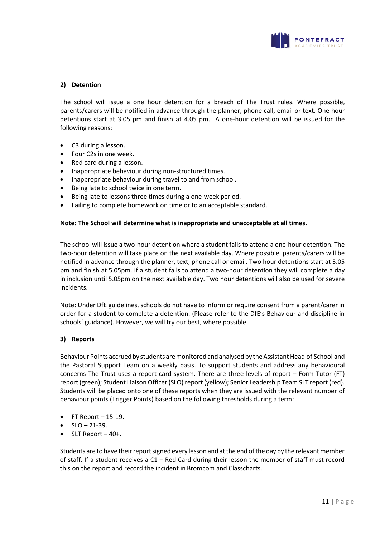

#### **2) Detention**

The school will issue a one hour detention for a breach of The Trust rules. Where possible, parents/carers will be notified in advance through the planner, phone call, email or text. One hour detentions start at 3.05 pm and finish at 4.05 pm. A one-hour detention will be issued for the following reasons:

- C3 during a lesson.
- Four C2s in one week.
- Red card during a lesson.
- Inappropriate behaviour during non-structured times.
- Inappropriate behaviour during travel to and from school.
- Being late to school twice in one term.
- Being late to lessons three times during a one-week period.
- Failing to complete homework on time or to an acceptable standard.

#### **Note: The School will determine what is inappropriate and unacceptable at all times.**

The school will issue a two-hour detention where a student fails to attend a one-hour detention. The two-hour detention will take place on the next available day. Where possible, parents/carers will be notified in advance through the planner, text, phone call or email. Two hour detentions start at 3.05 pm and finish at 5.05pm. If a student fails to attend a two-hour detention they will complete a day in inclusion until 5.05pm on the next available day. Two hour detentions will also be used for severe incidents.

Note: Under DfE guidelines, schools do not have to inform or require consent from a parent/carer in order for a student to complete a detention. (Please refer to the DfE's Behaviour and discipline in schools' guidance). However, we will try our best, where possible.

#### **3) Reports**

Behaviour Points accrued by students are monitored and analysed by the Assistant Head of School and the Pastoral Support Team on a weekly basis. To support students and address any behavioural concerns The Trust uses a report card system. There are three levels of report – Form Tutor (FT) report (green); Student Liaison Officer (SLO) report (yellow); Senior Leadership Team SLT report (red). Students will be placed onto one of these reports when they are issued with the relevant number of behaviour points (Trigger Points) based on the following thresholds during a term:

- $FT$  Report  $-15-19$ .
- $SLO 21 39$ .
- SLT Report 40+.

Students are to have their report signed every lesson and at the end of the day by the relevant member of staff. If a student receives a C1 – Red Card during their lesson the member of staff must record this on the report and record the incident in Bromcom and Classcharts.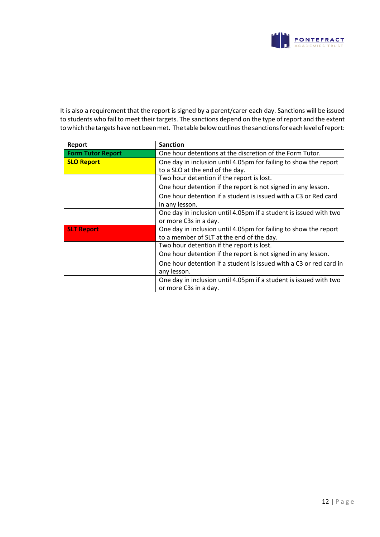

It is also a requirement that the report is signed by a parent/carer each day. Sanctions will be issued to students who fail to meet their targets. The sanctions depend on the type of report and the extent to which the targets have not been met. The table below outlines the sanctions for each level of report:

| Report                   | <b>Sanction</b>                                                    |  |  |  |
|--------------------------|--------------------------------------------------------------------|--|--|--|
| <b>Form Tutor Report</b> | One hour detentions at the discretion of the Form Tutor.           |  |  |  |
| <b>SLO Report</b>        | One day in inclusion until 4.05pm for failing to show the report   |  |  |  |
|                          | to a SLO at the end of the day.                                    |  |  |  |
|                          | Two hour detention if the report is lost.                          |  |  |  |
|                          | One hour detention if the report is not signed in any lesson.      |  |  |  |
|                          | One hour detention if a student is issued with a C3 or Red card    |  |  |  |
|                          | in any lesson.                                                     |  |  |  |
|                          | One day in inclusion until 4.05pm if a student is issued with two  |  |  |  |
|                          | or more C3s in a day.                                              |  |  |  |
| <b>SLT Report</b>        | One day in inclusion until 4.05pm for failing to show the report   |  |  |  |
|                          | to a member of SLT at the end of the day.                          |  |  |  |
|                          | Two hour detention if the report is lost.                          |  |  |  |
|                          | One hour detention if the report is not signed in any lesson.      |  |  |  |
|                          | One hour detention if a student is issued with a C3 or red card in |  |  |  |
|                          | any lesson.                                                        |  |  |  |
|                          | One day in inclusion until 4.05pm if a student is issued with two  |  |  |  |
|                          | or more C3s in a day.                                              |  |  |  |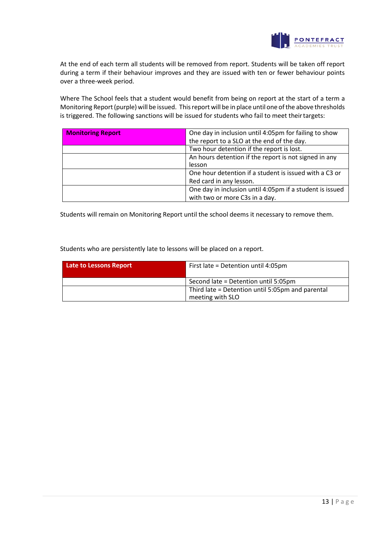

At the end of each term all students will be removed from report. Students will be taken off report during a term if their behaviour improves and they are issued with ten or fewer behaviour points over a three-week period.

Where The School feels that a student would benefit from being on report at the start of a term a Monitoring Report(purple)will be issued. Thisreport will be in place until one ofthe above thresholds is triggered. The following sanctions will be issued for students who fail to meet theirtargets:

| <b>Monitoring Report</b> | One day in inclusion until 4:05pm for failing to show    |  |  |
|--------------------------|----------------------------------------------------------|--|--|
|                          | the report to a SLO at the end of the day.               |  |  |
|                          | Two hour detention if the report is lost.                |  |  |
|                          | An hours detention if the report is not signed in any    |  |  |
|                          | lesson                                                   |  |  |
|                          | One hour detention if a student is issued with a C3 or   |  |  |
|                          | Red card in any lesson.                                  |  |  |
|                          | One day in inclusion until 4:05pm if a student is issued |  |  |
|                          | with two or more C3s in a day.                           |  |  |

Students will remain on Monitoring Report until the school deems it necessary to remove them.

Students who are persistently late to lessons will be placed on a report.

| <b>Late to Lessons Report</b> | First late = Detention until 4:05pm                                  |  |
|-------------------------------|----------------------------------------------------------------------|--|
|                               | Second late = Detention until 5:05pm                                 |  |
|                               | Third late = Detention until 5:05pm and parental<br>meeting with SLO |  |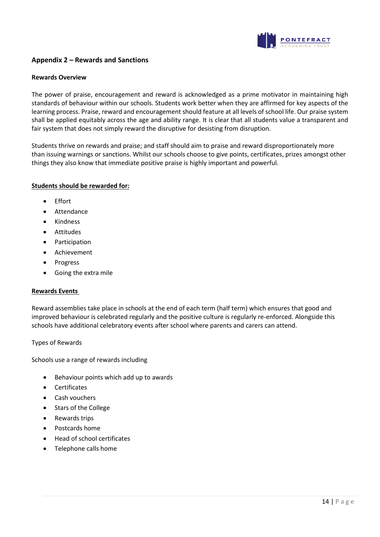

## **Appendix 2 – Rewards and Sanctions**

#### **Rewards Overview**

The power of praise, encouragement and reward is acknowledged as a prime motivator in maintaining high standards of behaviour within our schools. Students work better when they are affirmed for key aspects of the learning process. Praise, reward and encouragement should feature at all levels of school life. Our praise system shall be applied equitably across the age and ability range. It is clear that all students value a transparent and fair system that does not simply reward the disruptive for desisting from disruption.

Students thrive on rewards and praise; and staff should aim to praise and reward disproportionately more than issuing warnings or sanctions. Whilst our schools choose to give points, certificates, prizes amongst other things they also know that immediate positive praise is highly important and powerful.

#### **Students should be rewarded for:**

- Effort
- **Attendance**
- Kindness
- Attitudes
- **Participation**
- Achievement
- **Progress**
- Going the extra mile

#### **Rewards Events**

Reward assemblies take place in schools at the end of each term (half term) which ensures that good and improved behaviour is celebrated regularly and the positive culture is regularly re-enforced. Alongside this schools have additional celebratory events after school where parents and carers can attend.

#### Types of Rewards

Schools use a range of rewards including

- Behaviour points which add up to awards
- **Certificates**
- Cash vouchers
- Stars of the College
- Rewards trips
- Postcards home
- Head of school certificates
- Telephone calls home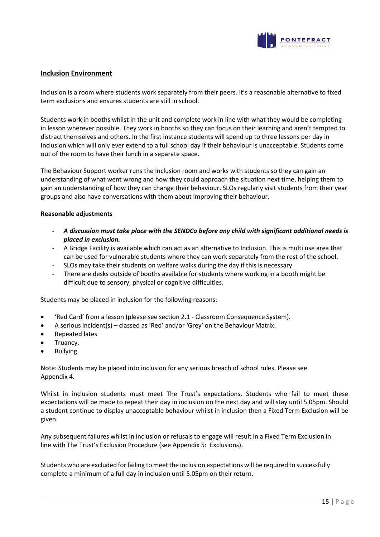

#### **Inclusion Environment**

Inclusion is a room where students work separately from their peers. It's a reasonable alternative to fixed term exclusions and ensures students are still in school.

Students work in booths whilst in the unit and complete work in line with what they would be completing in lesson wherever possible. They work in booths so they can focus on their learning and aren't tempted to distract themselves and others. In the first instance students will spend up to three lessons per day in Inclusion which will only ever extend to a full school day if their behaviour is unacceptable. Students come out of the room to have their lunch in a separate space.

The Behaviour Support worker runs the Inclusion room and works with students so they can gain an understanding of what went wrong and how they could approach the situation next time, helping them to gain an understanding of how they can change their behaviour. SLOs regularly visit students from their year groups and also have conversations with them about improving their behaviour.

#### **Reasonable adjustments**

- *A discussion must take place with the SENDCo before any child with significant additional needs is placed in exclusion.*
- A Bridge Facility is available which can act as an alternative to Inclusion. This is multi use area that can be used for vulnerable students where they can work separately from the rest of the school.
- SLOs may take their students on welfare walks during the day if this is necessary
- There are desks outside of booths available for students where working in a booth might be difficult due to sensory, physical or cognitive difficulties.

Students may be placed in inclusion for the following reasons:

- 'Red Card' from a lesson (please see section 2.1 Classroom Consequence System).
- A serious incident(s) classed as 'Red' and/or 'Grey' on the Behaviour Matrix.
- Repeated lates
- Truancy.
- Bullying.

Note: Students may be placed into inclusion for any serious breach of school rules. Please see Appendix 4.

Whilst in inclusion students must meet The Trust's expectations. Students who fail to meet these expectations will be made to repeat their day in inclusion on the next day and will stay until 5.05pm. Should a student continue to display unacceptable behaviour whilst in inclusion then a Fixed Term Exclusion will be given.

Any subsequent failures whilst in inclusion or refusals to engage will result in a Fixed Term Exclusion in line with The Trust's Exclusion Procedure (see Appendix 5: Exclusions).

Students who are excluded for failing to meet the inclusion expectations will be required to successfully complete a minimum of a full day in inclusion until 5.05pm on theirreturn.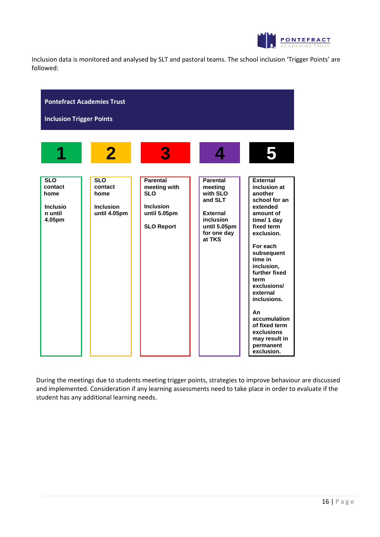

Inclusion data is monitored and analysed by SLT and pastoral teams. The school inclusion 'Trigger Points' are followed:



During the meetings due to students meeting trigger points, strategies to improve behaviour are discussed and implemented. Consideration if any learning assessments need to take place in order to evaluate if the student has any additional learning needs.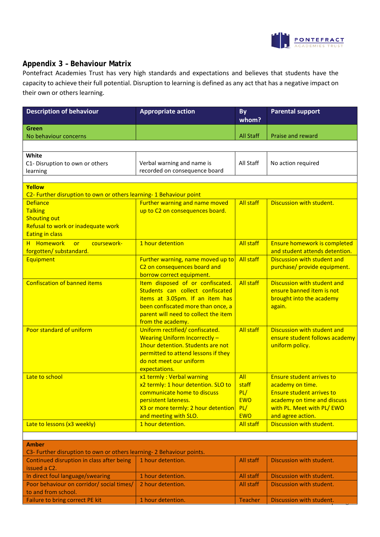

Discussion with student.

2 hour detention. All staff Discussion with student.

# **Appendix 3 – Behaviour Matrix**

Poor behaviour on corridor/ social times/

Failure to bring correct PE kit 1 hour detention. Teacher

to and from school.

Pontefract Academies Trust has very high standards and expectations and believes that students have the capacity to achieve their full potential. Disruption to learning is defined as any act that has a negative impact on their own or others learning.

| <b>Description of behaviour</b>                                       | <b>Appropriate action</b>                                                 | <b>By</b>        | <b>Parental support</b>             |  |  |  |  |
|-----------------------------------------------------------------------|---------------------------------------------------------------------------|------------------|-------------------------------------|--|--|--|--|
|                                                                       |                                                                           | whom?            |                                     |  |  |  |  |
| Green<br>No behaviour concerns                                        |                                                                           | <b>All Staff</b> | Praise and reward                   |  |  |  |  |
|                                                                       |                                                                           |                  |                                     |  |  |  |  |
|                                                                       |                                                                           |                  |                                     |  |  |  |  |
| White                                                                 |                                                                           | All Staff        |                                     |  |  |  |  |
| C1- Disruption to own or others                                       | Verbal warning and name is<br>recorded on consequence board               |                  | No action required                  |  |  |  |  |
| learning                                                              |                                                                           |                  |                                     |  |  |  |  |
| Yellow                                                                |                                                                           |                  |                                     |  |  |  |  |
| C2- Further disruption to own or others learning- 1 Behaviour point   |                                                                           |                  |                                     |  |  |  |  |
| <b>Defiance</b>                                                       | Further warning and name moved                                            | <b>All staff</b> | Discussion with student.            |  |  |  |  |
| <b>Talking</b>                                                        | up to C2 on consequences board.                                           |                  |                                     |  |  |  |  |
| <b>Shouting out</b>                                                   |                                                                           |                  |                                     |  |  |  |  |
| Refusal to work or inadequate work                                    |                                                                           |                  |                                     |  |  |  |  |
| <b>Eating in class</b>                                                |                                                                           |                  |                                     |  |  |  |  |
| H Homework<br>coursework-<br><b>or</b>                                | 1 hour detention                                                          | <b>All staff</b> | <b>Ensure homework is completed</b> |  |  |  |  |
| forgotten/ substandard.                                               |                                                                           |                  | and student attends detention.      |  |  |  |  |
| Equipment                                                             | Further warning, name moved up to                                         | <b>All staff</b> | Discussion with student and         |  |  |  |  |
|                                                                       | C2 on consequences board and                                              |                  | purchase/ provide equipment.        |  |  |  |  |
|                                                                       | borrow correct equipment.                                                 |                  |                                     |  |  |  |  |
| <b>Confiscation of banned items</b>                                   | Item disposed of or confiscated.                                          | <b>All staff</b> | Discussion with student and         |  |  |  |  |
|                                                                       | Students can collect confiscated                                          |                  | ensure banned item is not           |  |  |  |  |
|                                                                       | items at 3.05pm. If an item has                                           |                  | brought into the academy            |  |  |  |  |
|                                                                       | been confiscated more than once, a                                        |                  | again.                              |  |  |  |  |
|                                                                       | parent will need to collect the item                                      |                  |                                     |  |  |  |  |
|                                                                       | from the academy.                                                         |                  |                                     |  |  |  |  |
| Poor standard of uniform                                              | Uniform rectified/ confiscated.                                           | <b>All staff</b> | Discussion with student and         |  |  |  |  |
|                                                                       | <b>Wearing Uniform Incorrectly -</b><br>1hour detention. Students are not |                  | ensure student follows academy      |  |  |  |  |
|                                                                       | permitted to attend lessons if they                                       |                  | uniform policy.                     |  |  |  |  |
|                                                                       | do not meet our uniform                                                   |                  |                                     |  |  |  |  |
|                                                                       | expectations.                                                             |                  |                                     |  |  |  |  |
| Late to school                                                        | x1 termly: Verbal warning                                                 | All              | <b>Ensure student arrives to</b>    |  |  |  |  |
|                                                                       | x2 termly: 1 hour detention. SLO to                                       | staff            | academy on time.                    |  |  |  |  |
|                                                                       | communicate home to discuss                                               | PL/              | <b>Ensure student arrives to</b>    |  |  |  |  |
|                                                                       | persistent lateness.                                                      | <b>EWO</b>       | academy on time and discuss         |  |  |  |  |
|                                                                       | X3 or more termly: 2 hour detention                                       | PL/              | with PL. Meet with PL/ EWO          |  |  |  |  |
|                                                                       | and meeting with SLO.                                                     | <b>EWO</b>       | and agree action.                   |  |  |  |  |
| Late to lessons (x3 weekly)                                           | 1 hour detention.                                                         | <b>All staff</b> | Discussion with student.            |  |  |  |  |
|                                                                       |                                                                           |                  |                                     |  |  |  |  |
| <b>Amber</b>                                                          |                                                                           |                  |                                     |  |  |  |  |
| C3- Further disruption to own or others learning- 2 Behaviour points. |                                                                           |                  |                                     |  |  |  |  |
| Continued disruption in class after being                             | 1 hour detention.                                                         | All staff        | Discussion with student.            |  |  |  |  |
| issued a C2.                                                          |                                                                           |                  |                                     |  |  |  |  |
| In direct foul language/swearing                                      | 1 hour detention.                                                         | All staff        | Discussion with student.            |  |  |  |  |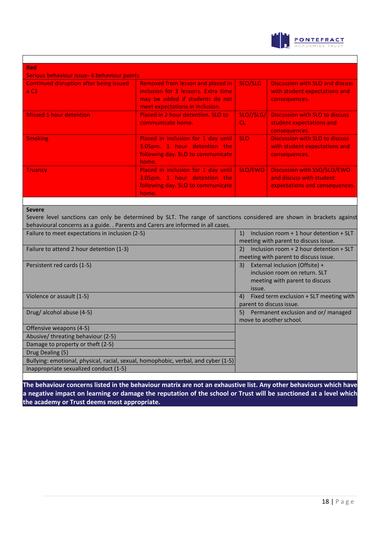

٦

| <b>Red</b>                                             |                                                                                                                                                |                        |                                                                                           |  |  |  |  |
|--------------------------------------------------------|------------------------------------------------------------------------------------------------------------------------------------------------|------------------------|-------------------------------------------------------------------------------------------|--|--|--|--|
| Serious behaviour issue- 4 behaviour points            |                                                                                                                                                |                        |                                                                                           |  |  |  |  |
| <b>Continued disruption after being issued</b><br>a C3 | Removed from lesson and placed in<br>inclusion for 3 lessons. Extra time<br>may be added if students do not<br>meet expectations in inclusion. | SLO/SLG                | <b>Discussion with SLO and discuss</b><br>with student expectations and<br>consequences.  |  |  |  |  |
| <b>Missed 1 hour detention</b>                         | Placed in 2 hour detention. SLO to<br>communicate home.                                                                                        | SLO//SLG/<br><b>CL</b> | Discussion with SLO to discuss<br>student expectations and<br>consequences.               |  |  |  |  |
| <b>Smoking</b>                                         | Placed in inclusion for 1 day until   SLO<br>3.05pm. 1 hour detention the<br>following day. SLO to communicate<br>home.                        |                        | <b>Discussion with SLO to discuss</b><br>with student expectations and<br>consequences.   |  |  |  |  |
| <b>Truancy</b>                                         | Placed in inclusion for 1 day until<br>3.05pm. 1 hour detention the<br>following day. SLO to communicate<br>home.                              | SLO/EWO                | Discussion with SSO/SLO/EWO<br>and discuss with student<br>expectations and consequences. |  |  |  |  |

#### **Severe**

Severe level sanctions can only be determined by SLT. The range of sanctions considered are shown in brackets against behavioural concerns as a guide. . Parents and Carers are informed in all cases.

| Failure to meet expectations in inclusion (2-5)                                    | Inclusion room $+1$ hour detention $+$ SLT<br>1)  |
|------------------------------------------------------------------------------------|---------------------------------------------------|
|                                                                                    | meeting with parent to discuss issue.             |
| Failure to attend 2 hour detention (1-3)                                           | Inclusion room $+$ 2 hour detention $+$ SLT<br>2) |
|                                                                                    | meeting with parent to discuss issue.             |
| Persistent red cards (1-5)                                                         | External inclusion (Offsite) +<br>3)              |
|                                                                                    | inclusion room on return. SLT                     |
|                                                                                    | meeting with parent to discuss                    |
|                                                                                    | issue.                                            |
| Violence or assault (1-5)                                                          | Fixed term exclusion + SLT meeting with<br>4)     |
|                                                                                    | parent to discuss issue.                          |
| Drug/alcohol abuse (4-5)                                                           | Permanent exclusion and or/managed<br>5)          |
|                                                                                    | move to another school.                           |
| Offensive weapons (4-5)                                                            |                                                   |
| Abusive/threating behaviour (2-5)                                                  |                                                   |
| Damage to property or theft (2-5)                                                  |                                                   |
| Drug Dealing (5)                                                                   |                                                   |
| Bullying: emotional, physical, racial, sexual, homophobic, verbal, and cyber (1-5) |                                                   |
| Inappropriate sexualized conduct (1-5)                                             |                                                   |

**The behaviour concerns listed in the behaviour matrix are not an exhaustive list. Any other behaviours which have a negative impact on learning or damage the reputation of the school or Trust will be sanctioned at a level which the academy or Trust deems most appropriate.**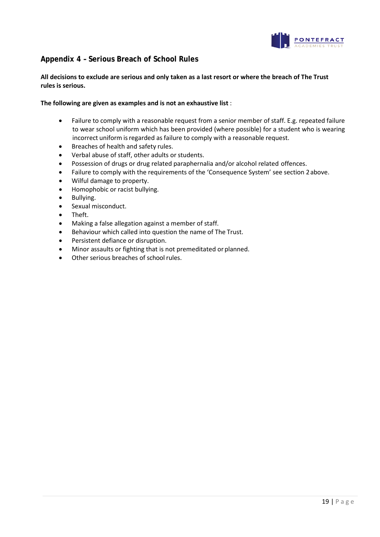

# **Appendix 4 – Serious Breach of School Rules**

#### **All decisions to exclude are serious and only taken as a last resort or where the breach of The Trust rules is serious.**

#### **The following are given as examples and is not an exhaustive list** :

- Failure to comply with a reasonable request from a senior member of staff. E.g. repeated failure to wear school uniform which has been provided (where possible) for a student who is wearing incorrect uniform is regarded as failure to comply with a reasonable request.
- Breaches of health and safety rules.
- Verbal abuse of staff, other adults or students.
- Possession of drugs or drug related paraphernalia and/or alcohol related offences.
- Failure to comply with the requirements of the 'Consequence System' see section 2above.
- Wilful damage to property.
- Homophobic or racist bullying.
- Bullying.
- Sexual misconduct.
- Theft.
- Making a false allegation against a member of staff.
- Behaviour which called into question the name of The Trust.
- Persistent defiance or disruption.
- Minor assaults or fighting that is not premeditated or planned.
- Other serious breaches of school rules.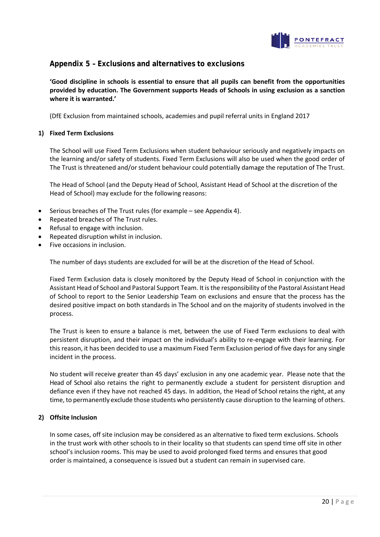

## **Appendix 5 – Exclusions and alternatives to exclusions**

**'Good discipline in schools is essential to ensure that all pupils can benefit from the opportunities provided by education. The Government supports Heads of Schools in using exclusion as a sanction where it is warranted.'**

(DfE Exclusion from maintained schools, academies and pupil referral units in England 2017

#### **1) Fixed Term Exclusions**

The School will use Fixed Term Exclusions when student behaviour seriously and negatively impacts on the learning and/or safety of students. Fixed Term Exclusions will also be used when the good order of The Trust is threatened and/or student behaviour could potentially damage the reputation of The Trust.

The Head of School (and the Deputy Head of School, Assistant Head of School at the discretion of the Head of School) may exclude for the following reasons:

- Serious breaches of The Trust rules (for example see Appendix 4).
- Repeated breaches of The Trust rules.
- Refusal to engage with inclusion.
- Repeated disruption whilst in inclusion.
- Five occasions in inclusion.

The number of days students are excluded for will be at the discretion of the Head of School.

Fixed Term Exclusion data is closely monitored by the Deputy Head of School in conjunction with the Assistant Head of School and Pastoral Support Team. It is the responsibility of the Pastoral Assistant Head of School to report to the Senior Leadership Team on exclusions and ensure that the process has the desired positive impact on both standards in The School and on the majority of students involved in the process.

The Trust is keen to ensure a balance is met, between the use of Fixed Term exclusions to deal with persistent disruption, and their impact on the individual's ability to re-engage with their learning. For this reason, it has been decided to use a maximum Fixed Term Exclusion period of five days for any single incident in the process.

No student will receive greater than 45 days' exclusion in any one academic year. Please note that the Head of School also retains the right to permanently exclude a student for persistent disruption and defiance even if they have not reached 45 days. In addition, the Head of School retains the right, at any time, to permanently exclude those students who persistently cause disruption to the learning of others.

#### **2) Offsite Inclusion**

In some cases, off site inclusion may be considered as an alternative to fixed term exclusions. Schools in the trust work with other schools to in their locality so that students can spend time off site in other school's inclusion rooms. This may be used to avoid prolonged fixed terms and ensures that good order is maintained, a consequence is issued but a student can remain in supervised care.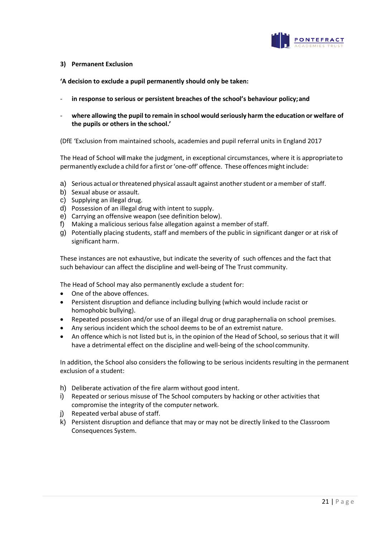

#### **3) Permanent Exclusion**

**'A decision to exclude a pupil permanently should only be taken:**

- in response to serious or persistent breaches of the school's behaviour policy; and
- **where allowing the pupil to remain in school would seriously harm the education or welfare of the pupils or others in the school.'**

(DfE 'Exclusion from maintained schools, academies and pupil referral units in England 2017

The Head of School will make the judgment, in exceptional circumstances, where it is appropriateto permanently exclude a child for a first or 'one-off' offence. These offences might include:

- a) Serious actual or threatened physical assault against another student or a member of staff.
- b) Sexual abuse or assault.
- c) Supplying an illegal drug.
- d) Possession of an illegal drug with intent to supply.
- e) Carrying an offensive weapon (see definition below).
- f) Making a malicious serious false allegation against a member ofstaff.
- g) Potentially placing students, staff and members of the public in significant danger or at risk of significant harm.

These instances are not exhaustive, but indicate the severity of such offences and the fact that such behaviour can affect the discipline and well-being of The Trust community.

The Head of School may also permanently exclude a student for:

- One of the above offences.
- Persistent disruption and defiance including bullying (which would include racist or homophobic bullying).
- Repeated possession and/or use of an illegal drug or drug paraphernalia on school premises.
- Any serious incident which the school deems to be of an extremist nature.
- An offence which is not listed but is, in the opinion of the Head of School, so serious that it will have a detrimental effect on the discipline and well-being of the school community.

In addition, the School also considers the following to be serious incidents resulting in the permanent exclusion of a student:

- h) Deliberate activation of the fire alarm without good intent.
- i) Repeated or serious misuse of The School computers by hacking or other activities that compromise the integrity of the computer network.
- j) Repeated verbal abuse of staff.
- k) Persistent disruption and defiance that may or may not be directly linked to the Classroom Consequences System.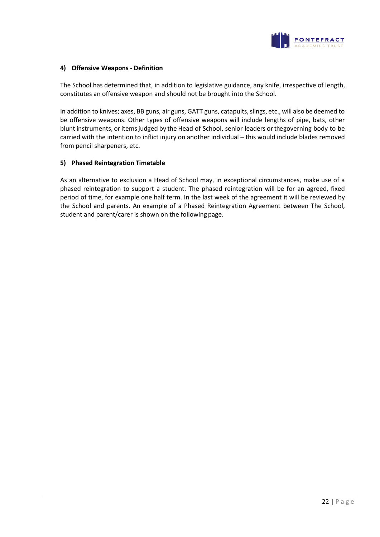

#### **4) Offensive Weapons - Definition**

The School has determined that, in addition to legislative guidance, any knife, irrespective of length, constitutes an offensive weapon and should not be brought into the School.

In addition to knives; axes, BB guns, air guns, GATT guns, catapults,slings, etc., will also be deemed to be offensive weapons. Other types of offensive weapons will include lengths of pipe, bats, other blunt instruments, or items judged by the Head of School, senior leaders or thegoverning body to be carried with the intention to inflict injury on another individual – this would include blades removed from pencil sharpeners, etc.

#### **5) Phased Reintegration Timetable**

As an alternative to exclusion a Head of School may, in exceptional circumstances, make use of a phased reintegration to support a student. The phased reintegration will be for an agreed, fixed period of time, for example one half term. In the last week of the agreement it will be reviewed by the School and parents. An example of a Phased Reintegration Agreement between The School, student and parent/carer is shown on the following page.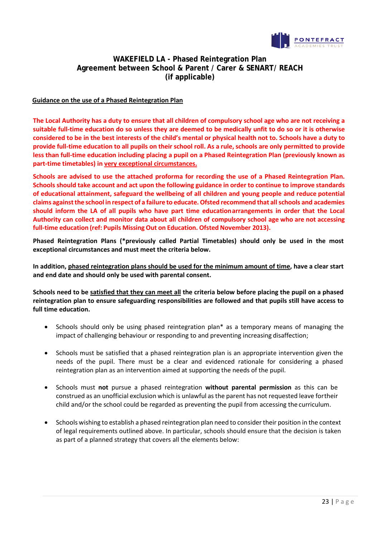

# **WAKEFIELD LA - Phased Reintegration Plan Agreement between School & Parent / Carer & SENART/ REACH (if applicable)**

#### **Guidance on the use of a Phased Reintegration Plan**

**The Local Authority has a duty to ensure that all children of compulsory school age who are not receiving a suitable full-time education do so unless they are deemed to be medically unfit to do so or it is otherwise considered to be in the best interests of the child's mental or physical health not to. Schools have a duty to provide full-time education to all pupils on their school roll. As a rule, schools are only permitted to provide less than full-time education including placing a pupil on a Phased Reintegration Plan (previously known as part-time timetables) in very exceptional circumstances.**

**Schools are advised to use the attached proforma for recording the use of a Phased Reintegration Plan. Schools should take account and act upon the following guidance in order to continue to improve standards of educational attainment, safeguard the wellbeing of all children and young people and reduce potential claims againstthe school in respect of a failure to educate.Ofsted recommend that all schools and academies should inform the LA of all pupils who have part time educationarrangements in order that the Local Authority can collect and monitor data about all children of compulsory school age who are not accessing full-time education (ref: Pupils Missing Out on Education. Ofsted November 2013).**

**Phased Reintegration Plans (\*previously called Partial Timetables) should only be used in the most exceptional circumstances and must meet the criteria below.**

**In addition, phased reintegration plans should be used for the minimum amount of time, have a clear start and end date and should only be used with parental consent.**

**Schools need to be satisfied that they can meet all the criteria below before placing the pupil on a phased reintegration plan to ensure safeguarding responsibilities are followed and that pupils still have access to full time education.**

- Schools should only be using phased reintegration plan\* as a temporary means of managing the impact of challenging behaviour or responding to and preventing increasing disaffection;
- Schools must be satisfied that a phased reintegration plan is an appropriate intervention given the needs of the pupil. There must be a clear and evidenced rationale for considering a phased reintegration plan as an intervention aimed at supporting the needs of the pupil.
- Schools must **not** pursue a phased reintegration **without parental permission** as this can be construed as an unofficial exclusion which is unlawful as the parent has not requested leave fortheir child and/or the school could be regarded as preventing the pupil from accessing the curriculum.
- Schools wishing to establish a phased reintegration plan need to consider their position in the context of legal requirements outlined above. In particular, schools should ensure that the decision is taken as part of a planned strategy that covers all the elements below: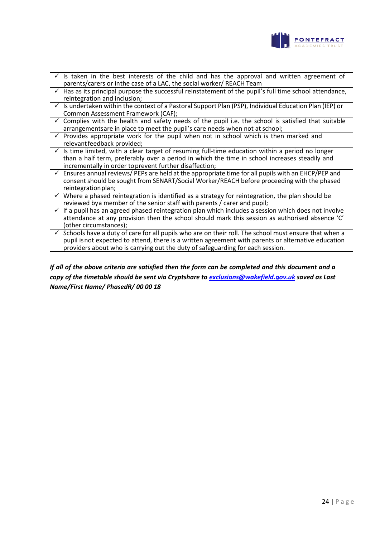

- $\checkmark$  is taken in the best interests of the child and has the approval and written agreement of parents/carers or inthe case of a LAC, the social worker/ REACH Team
- $\checkmark$  Has as its principal purpose the successful reinstatement of the pupil's full time school attendance, reintegration and inclusion;
- Is undertaken within the context of a Pastoral Support Plan (PSP), Individual Education Plan (IEP) or Common Assessment Framework (CAF);
- Complies with the health and safety needs of the pupil i.e. the school is satisfied that suitable arrangementsare in place to meet the pupil's care needs when not at school;
- Provides appropriate work for the pupil when not in school which is then marked and relevantfeedback provided;
- $\checkmark$  Is time limited, with a clear target of resuming full-time education within a period no longer than a half term, preferably over a period in which the time in school increases steadily and incrementally in order toprevent further disaffection;
- $\checkmark$  Ensures annual reviews/ PEPs are held at the appropriate time for all pupils with an EHCP/PEP and consent should be sought from SENART/Social Worker/REACH before proceeding with the phased reintegration plan;
- $\checkmark$  Where a phased reintegration is identified as a strategy for reintegration, the plan should be reviewed bya member of the senior staff with parents / carer and pupil;
- $\checkmark$  If a pupil has an agreed phased reintegration plan which includes a session which does not involve attendance at any provision then the school should mark this session as authorised absence 'C' (other circumstances);
- $\checkmark$  Schools have a duty of care for all pupils who are on their roll. The school must ensure that when a pupil isnot expected to attend, there is a written agreement with parents or alternative education providers about who is carrying out the duty of safeguarding for each session.

## *If all of the above criteria are satisfied then the form can be completed and this document and a copy of the timetable should be sent via Cryptshare t[o exclusions@wakefield.gov.uk](mailto:exclusions@wakefield.gov.uk) saved as Last Name/First Name/ PhasedR/ 00 00 18*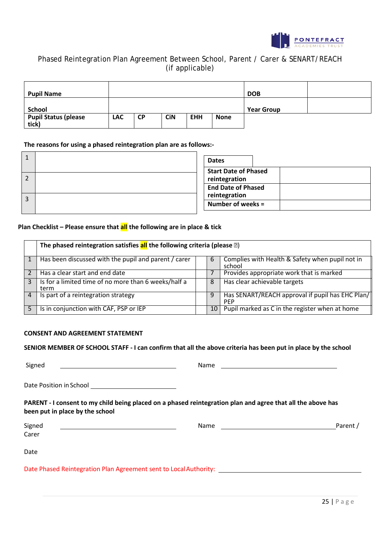

# Phased Reintegration Plan Agreement Between School, Parent / Carer & SENART/REACH (if applicable)

| <b>Pupil Name</b>                    |            |           |            |            |             | <b>DOB</b>        |  |
|--------------------------------------|------------|-----------|------------|------------|-------------|-------------------|--|
| <b>School</b>                        |            |           |            |            |             | <b>Year Group</b> |  |
| <b>Pupil Status (please</b><br>tick) | <b>LAC</b> | <b>CP</b> | <b>CiN</b> | <b>EHH</b> | <b>None</b> |                   |  |

#### **The reasons for using a phased reintegration plan are as follows:-**

| ᅩ | <b>Dates</b>                                                              |
|---|---------------------------------------------------------------------------|
|   | <b>Start Date of Phased</b><br>reintegration<br><b>End Date of Phased</b> |
| 3 | reintegration<br>Number of weeks =                                        |

#### **Plan Checklist – Please ensure that all the following are in place & tick**

|   | The phased reintegration satisfies $all$ the following criteria (please $\mathbb{D}$ ) |    |                                                                |  |  |  |
|---|----------------------------------------------------------------------------------------|----|----------------------------------------------------------------|--|--|--|
|   | Has been discussed with the pupil and parent / carer                                   | b  | Complies with Health & Safety when pupil not in<br>school      |  |  |  |
|   | Has a clear start and end date                                                         |    | Provides appropriate work that is marked                       |  |  |  |
|   | Is for a limited time of no more than 6 weeks/half a<br>term                           | 8  | Has clear achievable targets                                   |  |  |  |
| 4 | Is part of a reintegration strategy                                                    | 9  | Has SENART/REACH approval if pupil has EHC Plan/<br><b>PEP</b> |  |  |  |
|   | Is in conjunction with CAF, PSP or IEP                                                 | 10 | Pupil marked as C in the register when at home                 |  |  |  |

#### **CONSENT AND AGREEMENT STATEMENT**

#### **SENIOR MEMBER OF SCHOOL STAFF - I can confirm that all the above criteria has been put in place by the school**

Signed Name

| ame |  |  |  |
|-----|--|--|--|

Date Position inSchool

#### **PARENT - I consent to my child being placed on a phased reintegration plan and agree that all the above has been put in place by the school**

| Signed | Name | Parent / |
|--------|------|----------|
| Carer  |      |          |
|        |      |          |

Date

Date Phased Reintegration Plan Agreement sent to Local Authority: [1986] The Phased Reintegration Plan Agreement sent to Local Authority: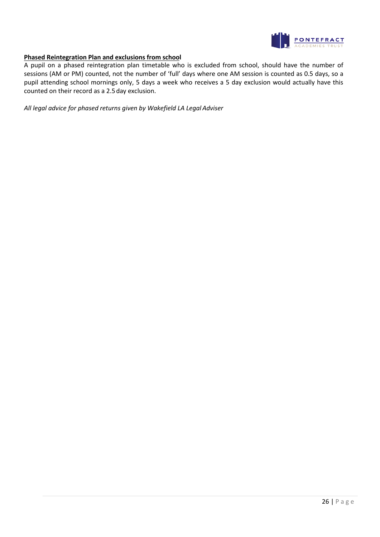

#### **Phased Reintegration Plan and exclusions from school**

A pupil on a phased reintegration plan timetable who is excluded from school, should have the number of sessions (AM or PM) counted, not the number of 'full' days where one AM session is counted as 0.5 days, so a pupil attending school mornings only, 5 days a week who receives a 5 day exclusion would actually have this counted on their record as a 2.5day exclusion.

*All legal advice for phased returns given by Wakefield LA LegalAdviser*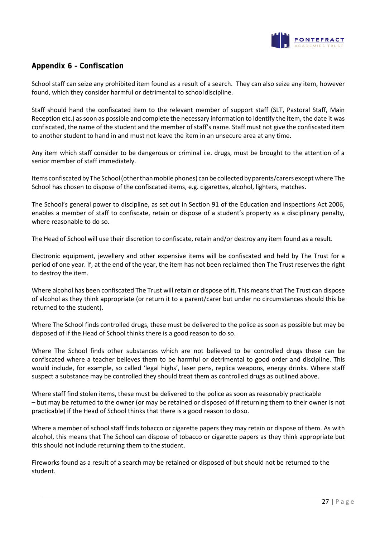

# **Appendix 6 – Confiscation**

School staff can seize any prohibited item found as a result of a search. They can also seize any item, however found, which they consider harmful or detrimental to schooldiscipline.

Staff should hand the confiscated item to the relevant member of support staff (SLT, Pastoral Staff, Main Reception etc.) as soon as possible and complete the necessary information to identify the item, the date it was confiscated, the name of the student and the member of staff's name. Staff must not give the confiscated item to another student to hand in and must not leave the item in an unsecure area at any time.

Any item which staff consider to be dangerous or criminal i.e. drugs, must be brought to the attention of a senior member of staff immediately.

Items confiscated by The School (other than mobile phones) can be collected by parents/carers except where The School has chosen to dispose of the confiscated items, e.g. cigarettes, alcohol, lighters, matches.

The School's general power to discipline, as set out in Section 91 of the Education and Inspections Act 2006, enables a member of staff to confiscate, retain or dispose of a student's property as a disciplinary penalty, where reasonable to do so.

The Head of School will use their discretion to confiscate, retain and/or destroy any item found as a result.

Electronic equipment, jewellery and other expensive items will be confiscated and held by The Trust for a period of one year. If, at the end of the year, the item has not been reclaimed then The Trust reserves the right to destroy the item.

Where alcohol has been confiscated The Trust will retain or dispose of it. This means that The Trust can dispose of alcohol as they think appropriate (or return it to a parent/carer but under no circumstances should this be returned to the student).

Where The School finds controlled drugs, these must be delivered to the police as soon as possible but may be disposed of if the Head of School thinks there is a good reason to do so.

Where The School finds other substances which are not believed to be controlled drugs these can be confiscated where a teacher believes them to be harmful or detrimental to good order and discipline. This would include, for example, so called 'legal highs', laser pens, replica weapons, energy drinks. Where staff suspect a substance may be controlled they should treat them as controlled drugs as outlined above.

Where staff find stolen items, these must be delivered to the police as soon as reasonably practicable – but may be returned to the owner (or may be retained or disposed of if returning them to their owner is not practicable) if the Head of School thinks that there is a good reason to do so.

Where a member of school staff finds tobacco or cigarette papers they may retain or dispose of them. As with alcohol, this means that The School can dispose of tobacco or cigarette papers as they think appropriate but this should not include returning them to the student.

Fireworks found as a result of a search may be retained or disposed of but should not be returned to the student.